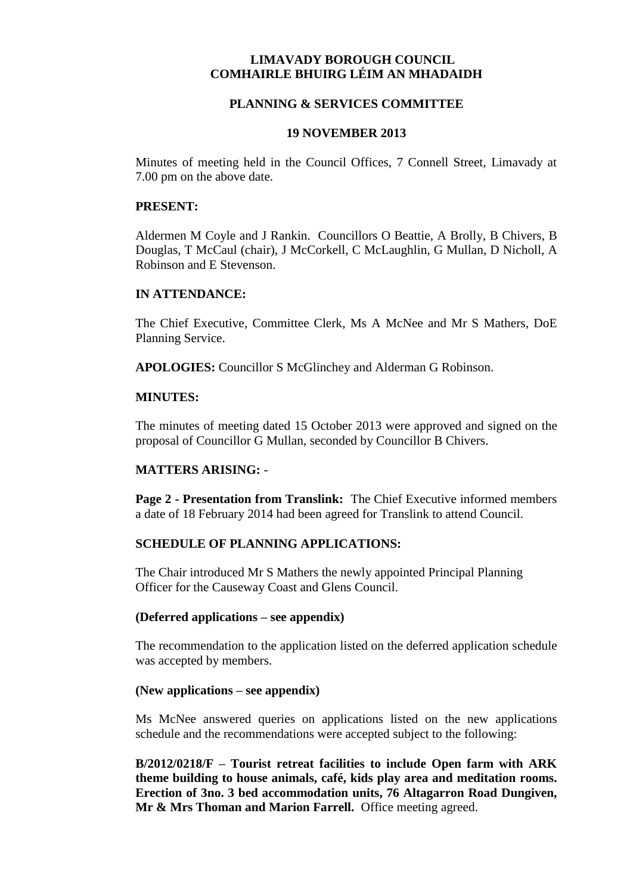# **LIMAVADY BOROUGH COUNCIL COMHAIRLE BHUIRG LÉIM AN MHADAIDH**

# **PLANNING & SERVICES COMMITTEE**

### **19 NOVEMBER 2013**

Minutes of meeting held in the Council Offices, 7 Connell Street, Limavady at 7.00 pm on the above date.

#### **PRESENT:**

Aldermen M Coyle and J Rankin. Councillors O Beattie, A Brolly, B Chivers, B Douglas, T McCaul (chair), J McCorkell, C McLaughlin, G Mullan, D Nicholl, A Robinson and E Stevenson.

### **IN ATTENDANCE:**

The Chief Executive, Committee Clerk, Ms A McNee and Mr S Mathers, DoE Planning Service.

**APOLOGIES:** Councillor S McGlinchey and Alderman G Robinson.

### **MINUTES:**

The minutes of meeting dated 15 October 2013 were approved and signed on the proposal of Councillor G Mullan, seconded by Councillor B Chivers.

# **MATTERS ARISING:** -

**Page 2 - Presentation from Translink:** The Chief Executive informed members a date of 18 February 2014 had been agreed for Translink to attend Council.

# **SCHEDULE OF PLANNING APPLICATIONS:**

The Chair introduced Mr S Mathers the newly appointed Principal Planning Officer for the Causeway Coast and Glens Council.

#### **(Deferred applications – see appendix)**

The recommendation to the application listed on the deferred application schedule was accepted by members.

#### **(New applications – see appendix)**

Ms McNee answered queries on applications listed on the new applications schedule and the recommendations were accepted subject to the following:

**B/2012/0218/F – Tourist retreat facilities to include Open farm with ARK theme building to house animals, café, kids play area and meditation rooms. Erection of 3no. 3 bed accommodation units, 76 Altagarron Road Dungiven, Mr & Mrs Thoman and Marion Farrell.** Office meeting agreed.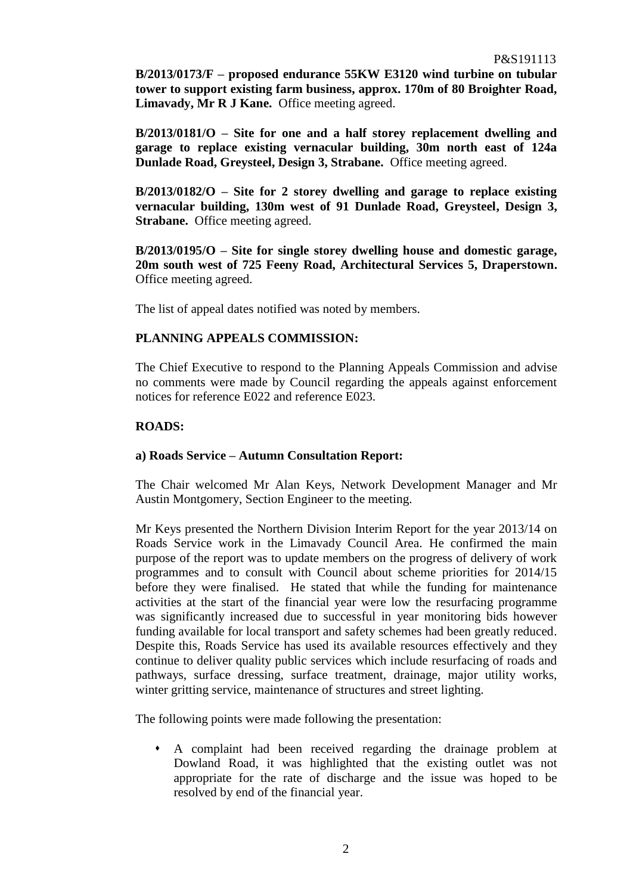**B/2013/0173/F – proposed endurance 55KW E3120 wind turbine on tubular tower to support existing farm business, approx. 170m of 80 Broighter Road, Limavady, Mr R J Kane.** Office meeting agreed.

**B/2013/0181/O – Site for one and a half storey replacement dwelling and garage to replace existing vernacular building, 30m north east of 124a Dunlade Road, Greysteel, Design 3, Strabane.** Office meeting agreed.

**B/2013/0182/O – Site for 2 storey dwelling and garage to replace existing vernacular building, 130m west of 91 Dunlade Road, Greysteel, Design 3, Strabane.** Office meeting agreed.

**B/2013/0195/O – Site for single storey dwelling house and domestic garage, 20m south west of 725 Feeny Road, Architectural Services 5, Draperstown.** Office meeting agreed.

The list of appeal dates notified was noted by members.

### **PLANNING APPEALS COMMISSION:**

The Chief Executive to respond to the Planning Appeals Commission and advise no comments were made by Council regarding the appeals against enforcement notices for reference E022 and reference E023.

### **ROADS:**

#### **a) Roads Service – Autumn Consultation Report:**

The Chair welcomed Mr Alan Keys, Network Development Manager and Mr Austin Montgomery, Section Engineer to the meeting.

Mr Keys presented the Northern Division Interim Report for the year 2013/14 on Roads Service work in the Limavady Council Area. He confirmed the main purpose of the report was to update members on the progress of delivery of work programmes and to consult with Council about scheme priorities for 2014/15 before they were finalised. He stated that while the funding for maintenance activities at the start of the financial year were low the resurfacing programme was significantly increased due to successful in year monitoring bids however funding available for local transport and safety schemes had been greatly reduced. Despite this, Roads Service has used its available resources effectively and they continue to deliver quality public services which include resurfacing of roads and pathways, surface dressing, surface treatment, drainage, major utility works, winter gritting service, maintenance of structures and street lighting.

The following points were made following the presentation:

 A complaint had been received regarding the drainage problem at Dowland Road, it was highlighted that the existing outlet was not appropriate for the rate of discharge and the issue was hoped to be resolved by end of the financial year.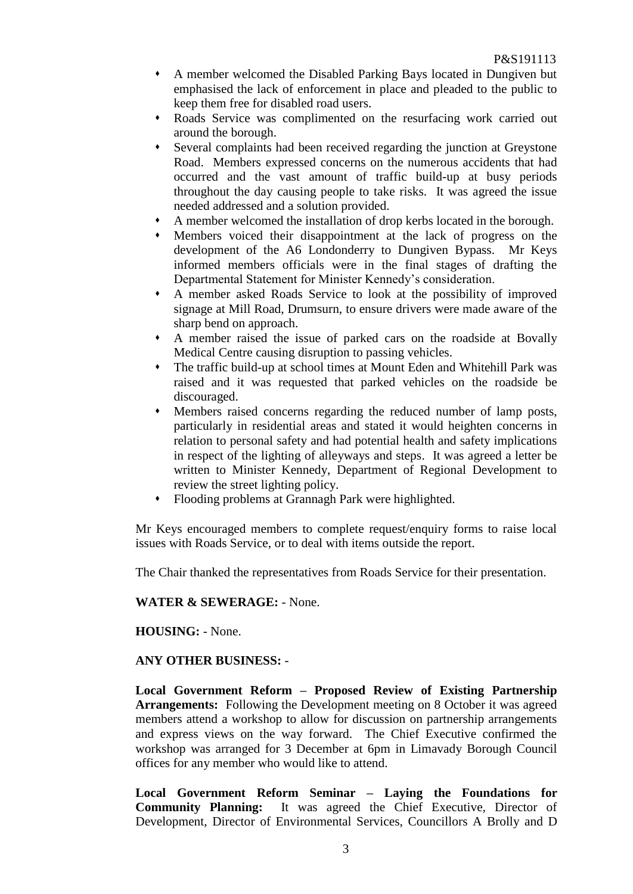- A member welcomed the Disabled Parking Bays located in Dungiven but emphasised the lack of enforcement in place and pleaded to the public to keep them free for disabled road users.
- Roads Service was complimented on the resurfacing work carried out around the borough.
- Several complaints had been received regarding the junction at Greystone Road. Members expressed concerns on the numerous accidents that had occurred and the vast amount of traffic build-up at busy periods throughout the day causing people to take risks. It was agreed the issue needed addressed and a solution provided.
- A member welcomed the installation of drop kerbs located in the borough.
- Members voiced their disappointment at the lack of progress on the development of the A6 Londonderry to Dungiven Bypass. Mr Keys informed members officials were in the final stages of drafting the Departmental Statement for Minister Kennedy's consideration.
- A member asked Roads Service to look at the possibility of improved signage at Mill Road, Drumsurn, to ensure drivers were made aware of the sharp bend on approach.
- A member raised the issue of parked cars on the roadside at Bovally Medical Centre causing disruption to passing vehicles.
- The traffic build-up at school times at Mount Eden and Whitehill Park was raised and it was requested that parked vehicles on the roadside be discouraged.
- Members raised concerns regarding the reduced number of lamp posts, particularly in residential areas and stated it would heighten concerns in relation to personal safety and had potential health and safety implications in respect of the lighting of alleyways and steps.It was agreed a letter be written to Minister Kennedy, Department of Regional Development to review the street lighting policy.
- Flooding problems at Grannagh Park were highlighted.

Mr Keys encouraged members to complete request/enquiry forms to raise local issues with Roads Service, or to deal with items outside the report.

The Chair thanked the representatives from Roads Service for their presentation.

# **WATER & SEWERAGE:** - None.

# **HOUSING:** - None.

# **ANY OTHER BUSINESS:** -

**Local Government Reform – Proposed Review of Existing Partnership Arrangements:** Following the Development meeting on 8 October it was agreed members attend a workshop to allow for discussion on partnership arrangements and express views on the way forward. The Chief Executive confirmed the workshop was arranged for 3 December at 6pm in Limavady Borough Council offices for any member who would like to attend.

**Local Government Reform Seminar – Laying the Foundations for Community Planning:** It was agreed the Chief Executive, Director of Development, Director of Environmental Services, Councillors A Brolly and D